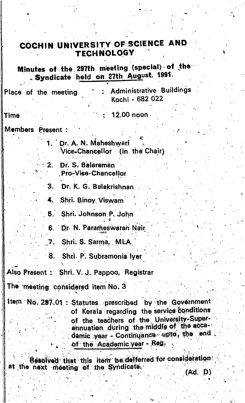## COCHIN UNIVERSITY OF SCIENCE AND **TECHNOLOGY**

Minutes of the 297th meeting (special) of the Syndicate held on 27th August, 1991.

**Administrative Buildings** Place of the meeting Kochi - 682 022

12.00 noon

## Members Present :

Time

1. Dr. A. N. Maheshwari Vice-Chancellor (in the Chair)

Dr. S. Balaraman  $2.$ **Pro-Vice-Chancellor** 

З. Dr. K. G. Balakrishnan

4. Shri. Binoy Viswam

5. Shri. Johnson P. John

6. Dr. N. Parameswaran Nair

Shri. S. Sarma, MLA  $7.$ 

8. Shri. P. Subramonia Iyer

Also Present: Shri. V. J. Pappoo, Registrar

The meeting considered item No. 3

Item No. 297.01 : Statutes prescribed by the Government of Kerala regarding the service conditions of the teachers of the University-Superannuation during the middle of the accadamic year - Continuance upto, the end of the Academic year - Reg.

Resolved that this item be defferred for consideration: at the next meeting of the Syndicate.

(Ad. D)